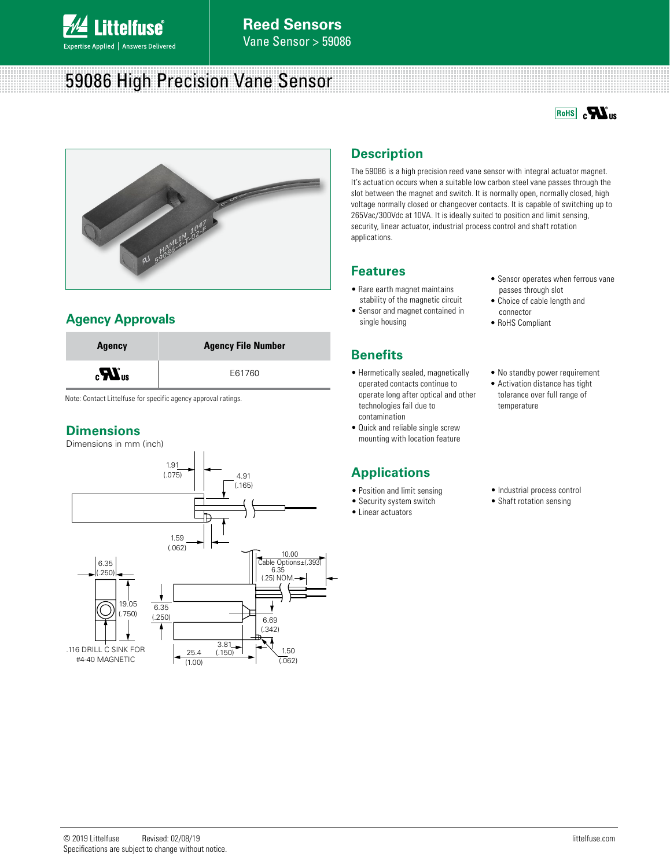

# 59086 High Precision Vane Sensor





## **Agency Approvals**



Note: Contact Littelfuse for specific agency approval ratings.

## **Dimensions**

Dimensions in mm (inch)



## **Description**

The 59086 is a high precision reed vane sensor with integral actuator magnet. It's actuation occurs when a suitable low carbon steel vane passes through the slot between the magnet and switch. It is normally open, normally closed, high voltage normally closed or changeover contacts. It is capable of switching up to 265Vac/300Vdc at 10VA. It is ideally suited to position and limit sensing, security, linear actuator, industrial process control and shaft rotation applications.

#### **Features**

- Rare earth magnet maintains stability of the magnetic circuit
- Sensor and magnet contained in single housing

## **Benefits**

- Hermetically sealed, magnetically operated contacts continue to operate long after optical and other technologies fail due to contamination
- Quick and reliable single screw mounting with location feature

## **Applications**

- Position and limit sensing
- Security system switch
- Linear actuators
- Sensor operates when ferrous vane passes through slot
- Choice of cable length and connector
- RoHS Compliant
- No standby power requirement
- Activation distance has tight tolerance over full range of temperature
- Industrial process control
- Shaft rotation sensing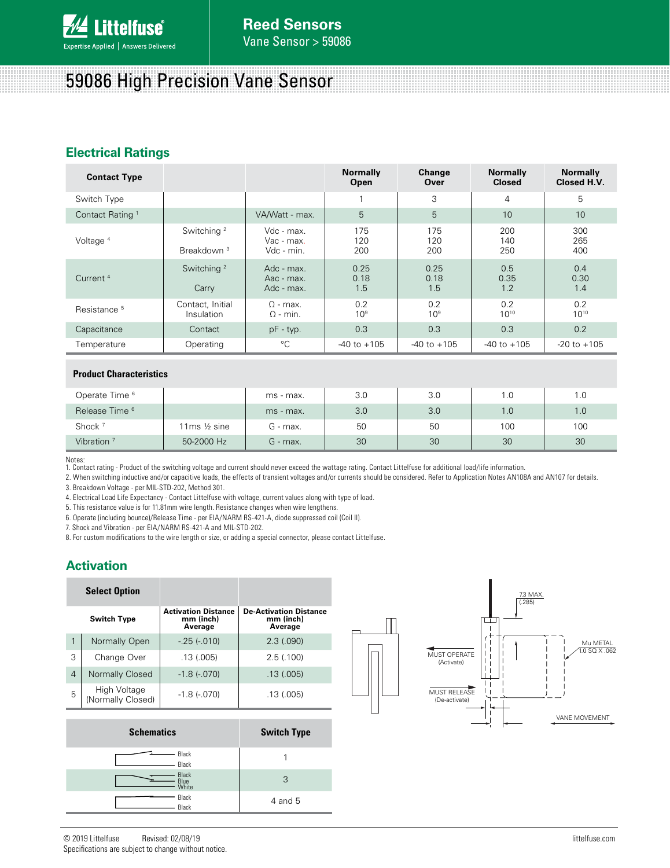

# 59086 High Precision Vane Sensor

## **Electrical Ratings**

| <b>Contact Type</b>         |                                                  |                                        | <b>Normally</b><br>Open | Change<br>Over         | <b>Normally</b><br><b>Closed</b> | <b>Normally</b><br>Closed H.V. |
|-----------------------------|--------------------------------------------------|----------------------------------------|-------------------------|------------------------|----------------------------------|--------------------------------|
| Switch Type                 |                                                  |                                        |                         | 3                      | 4                                | 5                              |
| Contact Rating <sup>1</sup> |                                                  | VA/Watt - max.                         | 5                       | 5                      | 10                               | 10                             |
| Voltage <sup>4</sup>        | Switching <sup>2</sup><br>Breakdown <sup>3</sup> | Vdc - max.<br>Vac - max.<br>Vdc - min. | 175<br>120<br>200       | 175<br>120<br>200      | 200<br>140<br>250                | 300<br>265<br>400              |
| Current <sup>4</sup>        | Switching <sup>2</sup><br>Carry                  | Adc - max.<br>Aac - max.<br>Adc - max. | 0.25<br>0.18<br>1.5     | 0.25<br>0.18<br>1.5    | 0.5<br>0.35<br>1.2               | 0.4<br>0.30<br>1.4             |
| Resistance <sup>5</sup>     | Contact, Initial<br>Insulation                   | $\Omega$ - max.<br>$\Omega$ - min.     | 0.2<br>10 <sup>9</sup>  | 0.2<br>10 <sup>9</sup> | 0.2<br>$10^{10}$                 | 0.2<br>$10^{10}$               |
| Capacitance                 | Contact                                          | $pF - typ.$                            | 0.3                     | 0.3                    | 0.3                              | 0.2                            |
| Temperature                 | Operating                                        | °C                                     | $-40$ to $+105$         | $-40$ to $+105$        | $-40$ to $+105$                  | $-20$ to $+105$                |

#### **Product Characteristics**

| Operate Time <sup>6</sup> |             | ms - max.  | 3.0 | 3.0 | 1.0 | 1.0 |
|---------------------------|-------------|------------|-----|-----|-----|-----|
| Release Time <sup>6</sup> |             | ms - max.  | 3.0 | 3.0 | 1.0 | 1.0 |
| Shock <sup>7</sup>        | 11ms ½ sine | G - max.   | 50  | 50  | 100 | 100 |
| Vibration $7$             | 50-2000 Hz  | $G$ - max. | 30  | 30  | 30  | 30  |

Notes:

1. Contact rating - Product of the switching voltage and current should never exceed the wattage rating. Contact Littelfuse for additional load/life information.

2. When switching inductive and/or capacitive loads, the effects of transient voltages and/or currents should be considered. Refer to Application Notes AN108A and AN107 for details. 3. Breakdown Voltage - per MIL-STD-202, Method 301.

4. Electrical Load Life Expectancy - Contact Littelfuse with voltage, current values along with type of load.

5. This resistance value is for 11.81mm wire length. Resistance changes when wire lengthens.

6. Operate (including bounce)/Release Time - per EIA/NARM RS-421-A, diode suppressed coil (Coil II).

7. Shock and Vibration - per EIA/NARM RS-421-A and MIL-STD-202.

8. For custom modifications to the wire length or size, or adding a special connector, please contact Littelfuse.

## **Activation**

| <b>Select Option</b> |                                   |                                                    |                                                       |  |
|----------------------|-----------------------------------|----------------------------------------------------|-------------------------------------------------------|--|
| <b>Switch Type</b>   |                                   | <b>Activation Distance</b><br>mm (inch)<br>Average | <b>De-Activation Distance</b><br>mm (inch)<br>Average |  |
| 1                    | Normally Open                     | $-25(-010)$                                        | 2.3(.090)                                             |  |
| 3                    | Change Over                       | .13(005)                                           | 2.5(0.100)                                            |  |
| $\overline{4}$       | Normally Closed                   | $-1.8$ ( $-070$ )                                  | .13(.005)                                             |  |
| 5                    | High Voltage<br>(Normally Closed) | $-1.8$ ( $-070$ )                                  | .13(005)                                              |  |

| <b>Schematics</b>      | <b>Switch Type</b> |
|------------------------|--------------------|
| Black<br>Black         |                    |
| Black<br>Blue<br>White | 3                  |
| Black<br>Black         | 4 and 5            |